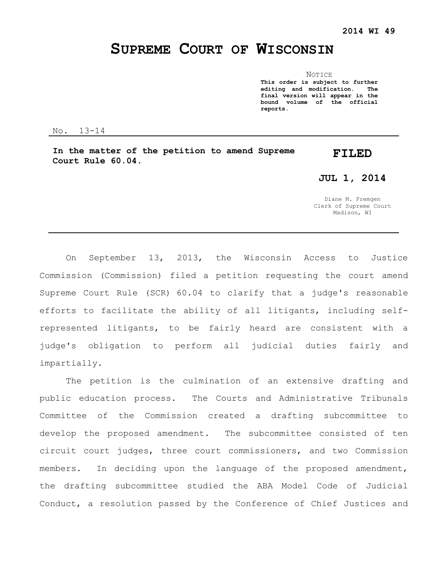# **SUPREME COURT OF WISCONSIN**

NOTICE **This order is subject to further editing and modification. The final version will appear in the bound volume of the official reports.**

No. 13-14

**In the matter of the petition to amend Supreme Court Rule 60.04.**

# **FILED**

**JUL 1, 2014**

Diane M. Fremgen Clerk of Supreme Court Madison, WI

On September 13, 2013, the Wisconsin Access to Justice Commission (Commission) filed a petition requesting the court amend Supreme Court Rule (SCR) 60.04 to clarify that a judge's reasonable efforts to facilitate the ability of all litigants, including selfrepresented litigants, to be fairly heard are consistent with a judge's obligation to perform all judicial duties fairly and impartially.

The petition is the culmination of an extensive drafting and public education process. The Courts and Administrative Tribunals Committee of the Commission created a drafting subcommittee to develop the proposed amendment. The subcommittee consisted of ten circuit court judges, three court commissioners, and two Commission members. In deciding upon the language of the proposed amendment, the drafting subcommittee studied the ABA Model Code of Judicial Conduct, a resolution passed by the Conference of Chief Justices and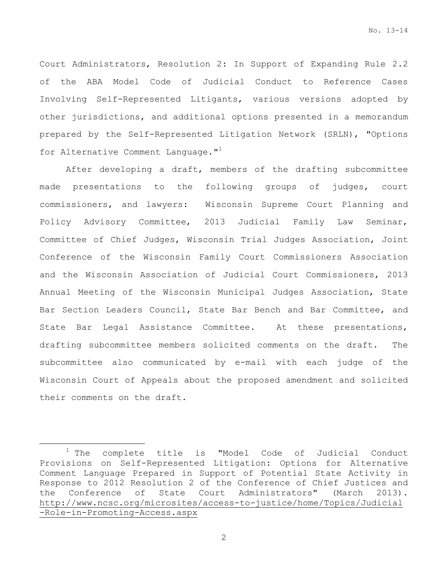Court Administrators, Resolution 2: In Support of Expanding Rule 2.2 of the ABA Model Code of Judicial Conduct to Reference Cases Involving Self-Represented Litigants, various versions adopted by other jurisdictions, and additional options presented in a memorandum prepared by the Self-Represented Litigation Network (SRLN), "Options for Alternative Comment Language."<sup>1</sup>

After developing a draft, members of the drafting subcommittee made presentations to the following groups of judges, court commissioners, and lawyers: Wisconsin Supreme Court Planning and Policy Advisory Committee, 2013 Judicial Family Law Seminar, Committee of Chief Judges, Wisconsin Trial Judges Association, Joint Conference of the Wisconsin Family Court Commissioners Association and the Wisconsin Association of Judicial Court Commissioners, 2013 Annual Meeting of the Wisconsin Municipal Judges Association, State Bar Section Leaders Council, State Bar Bench and Bar Committee, and State Bar Legal Assistance Committee. At these presentations, drafting subcommittee members solicited comments on the draft. The subcommittee also communicated by e-mail with each judge of the Wisconsin Court of Appeals about the proposed amendment and solicited their comments on the draft.

 $\overline{a}$ 

<sup>&</sup>lt;sup>1</sup> The complete title is "Model Code of Judicial Conduct Provisions on Self-Represented Litigation: Options for Alternative Comment Language Prepared in Support of Potential State Activity in Response to 2012 Resolution 2 of the Conference of Chief Justices and the Conference of State Court Administrators" (March 2013). http://www.ncsc.org/microsites/access-to-justice/home/Topics/Judicial -Role-in-Promoting-Access.aspx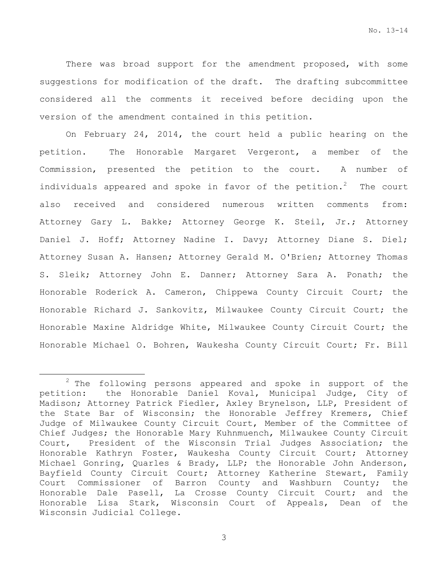There was broad support for the amendment proposed, with some suggestions for modification of the draft. The drafting subcommittee considered all the comments it received before deciding upon the version of the amendment contained in this petition.

On February 24, 2014, the court held a public hearing on the petition. The Honorable Margaret Vergeront, a member of the Commission, presented the petition to the court. A number of individuals appeared and spoke in favor of the petition.<sup>2</sup> The court also received and considered numerous written comments from: Attorney Gary L. Bakke; Attorney George K. Steil, Jr.; Attorney Daniel J. Hoff; Attorney Nadine I. Davy; Attorney Diane S. Diel; Attorney Susan A. Hansen; Attorney Gerald M. O'Brien; Attorney Thomas S. Sleik; Attorney John E. Danner; Attorney Sara A. Ponath; the Honorable Roderick A. Cameron, Chippewa County Circuit Court; the Honorable Richard J. Sankovitz, Milwaukee County Circuit Court; the Honorable Maxine Aldridge White, Milwaukee County Circuit Court; the Honorable Michael O. Bohren, Waukesha County Circuit Court; Fr. Bill

 $\overline{a}$ 

 $2$  The following persons appeared and spoke in support of the petition: the Honorable Daniel Koval, Municipal Judge, City of Madison; Attorney Patrick Fiedler, Axley Brynelson, LLP, President of the State Bar of Wisconsin; the Honorable Jeffrey Kremers, Chief Judge of Milwaukee County Circuit Court, Member of the Committee of Chief Judges; the Honorable Mary Kuhnmuench, Milwaukee County Circuit Court, President of the Wisconsin Trial Judges Association; the Honorable Kathryn Foster, Waukesha County Circuit Court; Attorney Michael Gonring, Quarles & Brady, LLP; the Honorable John Anderson, Bayfield County Circuit Court; Attorney Katherine Stewart, Family Court Commissioner of Barron County and Washburn County; the Honorable Dale Pasell, La Crosse County Circuit Court; and the Honorable Lisa Stark, Wisconsin Court of Appeals, Dean of the Wisconsin Judicial College.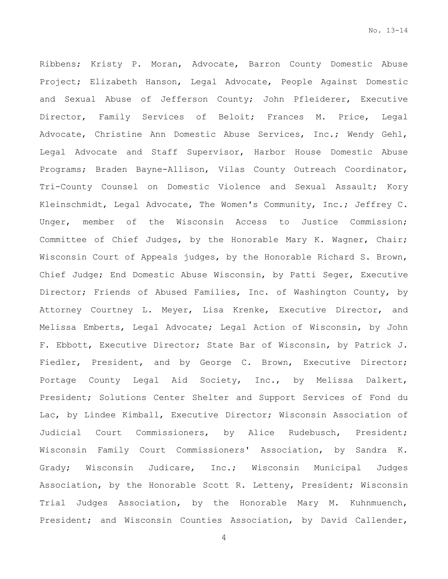Ribbens; Kristy P. Moran, Advocate, Barron County Domestic Abuse Project; Elizabeth Hanson, Legal Advocate, People Against Domestic and Sexual Abuse of Jefferson County; John Pfleiderer, Executive Director, Family Services of Beloit; Frances M. Price, Legal Advocate, Christine Ann Domestic Abuse Services, Inc.; Wendy Gehl, Legal Advocate and Staff Supervisor, Harbor House Domestic Abuse Programs; Braden Bayne-Allison, Vilas County Outreach Coordinator, Tri-County Counsel on Domestic Violence and Sexual Assault; Kory Kleinschmidt, Legal Advocate, The Women's Community, Inc.; Jeffrey C. Unger, member of the Wisconsin Access to Justice Commission; Committee of Chief Judges, by the Honorable Mary K. Wagner, Chair; Wisconsin Court of Appeals judges, by the Honorable Richard S. Brown, Chief Judge; End Domestic Abuse Wisconsin, by Patti Seger, Executive Director; Friends of Abused Families, Inc. of Washington County, by Attorney Courtney L. Meyer, Lisa Krenke, Executive Director, and Melissa Emberts, Legal Advocate; Legal Action of Wisconsin, by John F. Ebbott, Executive Director; State Bar of Wisconsin, by Patrick J. Fiedler, President, and by George C. Brown, Executive Director; Portage County Legal Aid Society, Inc., by Melissa Dalkert, President; Solutions Center Shelter and Support Services of Fond du Lac, by Lindee Kimball, Executive Director; Wisconsin Association of Judicial Court Commissioners, by Alice Rudebusch, President; Wisconsin Family Court Commissioners' Association, by Sandra K. Grady; Wisconsin Judicare, Inc.; Wisconsin Municipal Judges Association, by the Honorable Scott R. Letteny, President; Wisconsin Trial Judges Association, by the Honorable Mary M. Kuhnmuench, President; and Wisconsin Counties Association, by David Callender,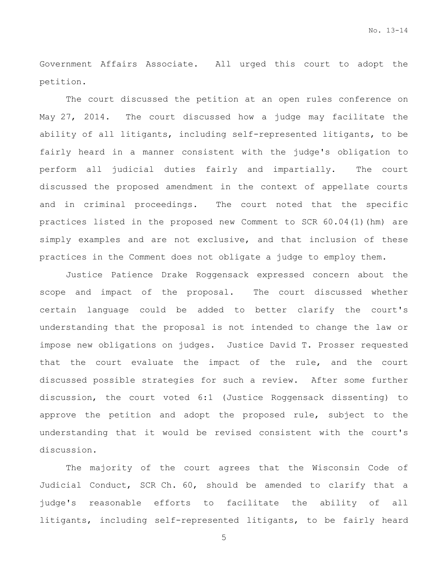Government Affairs Associate. All urged this court to adopt the petition.

The court discussed the petition at an open rules conference on May 27, 2014. The court discussed how a judge may facilitate the ability of all litigants, including self-represented litigants, to be fairly heard in a manner consistent with the judge's obligation to perform all judicial duties fairly and impartially. The court discussed the proposed amendment in the context of appellate courts and in criminal proceedings. The court noted that the specific practices listed in the proposed new Comment to SCR 60.04(1)(hm) are simply examples and are not exclusive, and that inclusion of these practices in the Comment does not obligate a judge to employ them.

Justice Patience Drake Roggensack expressed concern about the scope and impact of the proposal. The court discussed whether certain language could be added to better clarify the court's understanding that the proposal is not intended to change the law or impose new obligations on judges. Justice David T. Prosser requested that the court evaluate the impact of the rule, and the court discussed possible strategies for such a review. After some further discussion, the court voted 6:1 (Justice Roggensack dissenting) to approve the petition and adopt the proposed rule, subject to the understanding that it would be revised consistent with the court's discussion.

The majority of the court agrees that the Wisconsin Code of Judicial Conduct, SCR Ch. 60, should be amended to clarify that a judge's reasonable efforts to facilitate the ability of all litigants, including self-represented litigants, to be fairly heard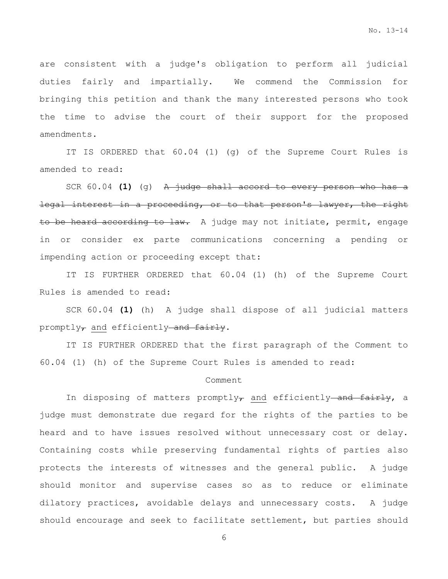are consistent with a judge's obligation to perform all judicial duties fairly and impartially. We commend the Commission for bringing this petition and thank the many interested persons who took the time to advise the court of their support for the proposed amendments.

IT IS ORDERED that 60.04 (1) (g) of the Supreme Court Rules is amended to read:

SCR 60.04 **(1)** (g) A judge shall accord to every person who has a legal interest in a proceeding, or to that person's lawyer, the right to be heard according to law. A judge may not initiate, permit, engage in or consider ex parte communications concerning a pending or impending action or proceeding except that:

IT IS FURTHER ORDERED that 60.04 (1) (h) of the Supreme Court Rules is amended to read:

SCR 60.04 **(1)** (h) A judge shall dispose of all judicial matters promptly $_{\tau}$  and efficiently and fairly.

IT IS FURTHER ORDERED that the first paragraph of the Comment to 60.04 (1) (h) of the Supreme Court Rules is amended to read:

#### Comment

In disposing of matters promptly $_{\tau}$  and efficiently-and fairly, a judge must demonstrate due regard for the rights of the parties to be heard and to have issues resolved without unnecessary cost or delay. Containing costs while preserving fundamental rights of parties also protects the interests of witnesses and the general public. A judge should monitor and supervise cases so as to reduce or eliminate dilatory practices, avoidable delays and unnecessary costs. A judge should encourage and seek to facilitate settlement, but parties should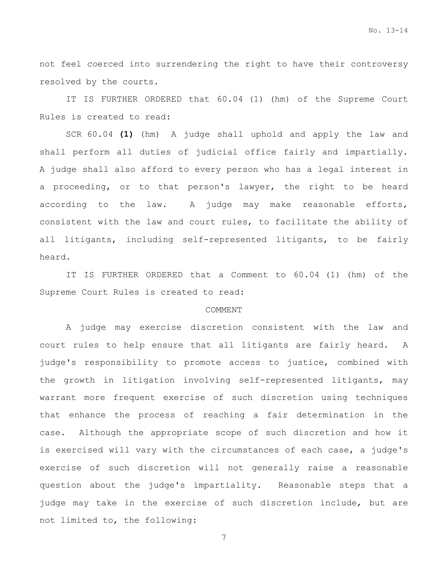not feel coerced into surrendering the right to have their controversy resolved by the courts.

IT IS FURTHER ORDERED that 60.04 (1) (hm) of the Supreme Court Rules is created to read:

SCR 60.04 **(1)** (hm) A judge shall uphold and apply the law and shall perform all duties of judicial office fairly and impartially. A judge shall also afford to every person who has a legal interest in a proceeding, or to that person's lawyer, the right to be heard according to the law. A judge may make reasonable efforts, consistent with the law and court rules, to facilitate the ability of all litigants, including self-represented litigants, to be fairly heard.

IT IS FURTHER ORDERED that a Comment to 60.04 (1) (hm) of the Supreme Court Rules is created to read:

#### COMMENT

A judge may exercise discretion consistent with the law and court rules to help ensure that all litigants are fairly heard. A judge's responsibility to promote access to justice, combined with the growth in litigation involving self-represented litigants, may warrant more frequent exercise of such discretion using techniques that enhance the process of reaching a fair determination in the case. Although the appropriate scope of such discretion and how it is exercised will vary with the circumstances of each case, a judge's exercise of such discretion will not generally raise a reasonable question about the judge's impartiality. Reasonable steps that a judge may take in the exercise of such discretion include, but are not limited to, the following: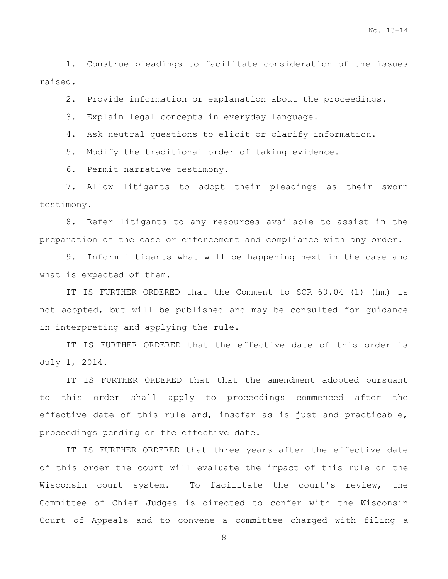1. Construe pleadings to facilitate consideration of the issues raised.

2. Provide information or explanation about the proceedings.

3. Explain legal concepts in everyday language.

4. Ask neutral questions to elicit or clarify information.

5. Modify the traditional order of taking evidence.

6. Permit narrative testimony.

7. Allow litigants to adopt their pleadings as their sworn testimony.

8. Refer litigants to any resources available to assist in the preparation of the case or enforcement and compliance with any order.

9. Inform litigants what will be happening next in the case and what is expected of them.

IT IS FURTHER ORDERED that the Comment to SCR 60.04 (1) (hm) is not adopted, but will be published and may be consulted for guidance in interpreting and applying the rule.

IT IS FURTHER ORDERED that the effective date of this order is July 1, 2014.

IT IS FURTHER ORDERED that that the amendment adopted pursuant to this order shall apply to proceedings commenced after the effective date of this rule and, insofar as is just and practicable, proceedings pending on the effective date.

IT IS FURTHER ORDERED that three years after the effective date of this order the court will evaluate the impact of this rule on the Wisconsin court system. To facilitate the court's review, the Committee of Chief Judges is directed to confer with the Wisconsin Court of Appeals and to convene a committee charged with filing a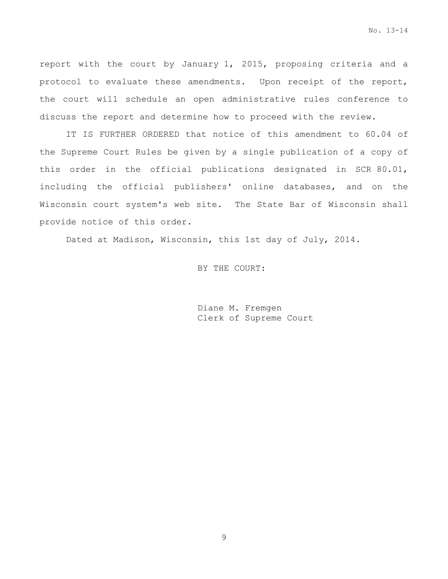No. 13-14

report with the court by January 1, 2015, proposing criteria and a protocol to evaluate these amendments. Upon receipt of the report, the court will schedule an open administrative rules conference to discuss the report and determine how to proceed with the review.

IT IS FURTHER ORDERED that notice of this amendment to 60.04 of the Supreme Court Rules be given by a single publication of a copy of this order in the official publications designated in SCR 80.01, including the official publishers' online databases, and on the Wisconsin court system's web site. The State Bar of Wisconsin shall provide notice of this order.

Dated at Madison, Wisconsin, this 1st day of July, 2014.

BY THE COURT:

Diane M. Fremgen Clerk of Supreme Court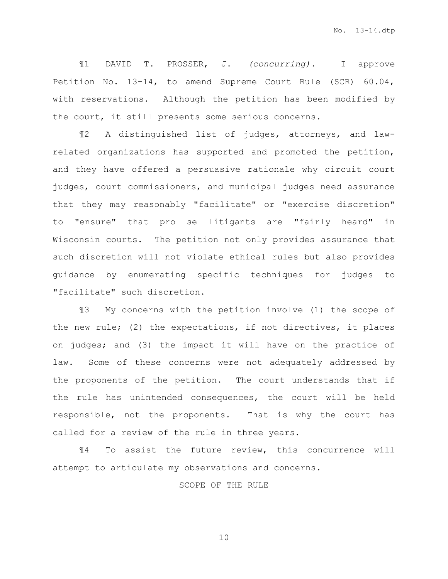¶1 DAVID T. PROSSER, J. *(concurring).* I approve Petition No. 13-14, to amend Supreme Court Rule (SCR) 60.04, with reservations. Although the petition has been modified by the court, it still presents some serious concerns.

¶2 A distinguished list of judges, attorneys, and lawrelated organizations has supported and promoted the petition, and they have offered a persuasive rationale why circuit court judges, court commissioners, and municipal judges need assurance that they may reasonably "facilitate" or "exercise discretion" to "ensure" that pro se litigants are "fairly heard" in Wisconsin courts. The petition not only provides assurance that such discretion will not violate ethical rules but also provides guidance by enumerating specific techniques for judges to "facilitate" such discretion.

¶3 My concerns with the petition involve (1) the scope of the new rule; (2) the expectations, if not directives, it places on judges; and (3) the impact it will have on the practice of law. Some of these concerns were not adequately addressed by the proponents of the petition. The court understands that if the rule has unintended consequences, the court will be held responsible, not the proponents. That is why the court has called for a review of the rule in three years.

¶4 To assist the future review, this concurrence will attempt to articulate my observations and concerns.

## SCOPE OF THE RULE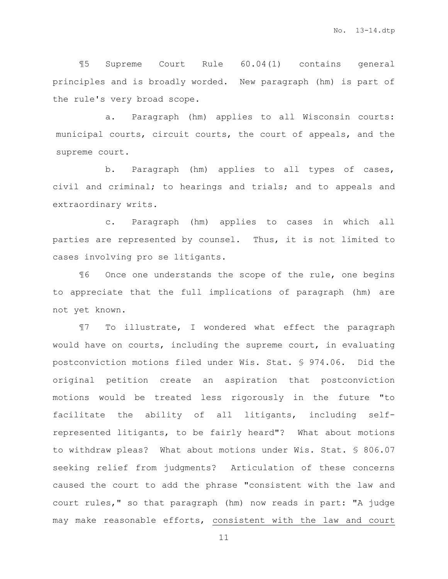¶5 Supreme Court Rule 60.04(1) contains general principles and is broadly worded. New paragraph (hm) is part of the rule's very broad scope.

a. Paragraph (hm) applies to all Wisconsin courts: municipal courts, circuit courts, the court of appeals, and the supreme court.

b. Paragraph (hm) applies to all types of cases, civil and criminal; to hearings and trials; and to appeals and extraordinary writs.

c. Paragraph (hm) applies to cases in which all parties are represented by counsel. Thus, it is not limited to cases involving pro se litigants.

¶6 Once one understands the scope of the rule, one begins to appreciate that the full implications of paragraph (hm) are not yet known.

¶7 To illustrate, I wondered what effect the paragraph would have on courts, including the supreme court, in evaluating postconviction motions filed under Wis. Stat. § 974.06. Did the original petition create an aspiration that postconviction motions would be treated less rigorously in the future "to facilitate the ability of all litigants, including selfrepresented litigants, to be fairly heard"? What about motions to withdraw pleas? What about motions under Wis. Stat. § 806.07 seeking relief from judgments? Articulation of these concerns caused the court to add the phrase "consistent with the law and court rules," so that paragraph (hm) now reads in part: "A judge may make reasonable efforts, consistent with the law and court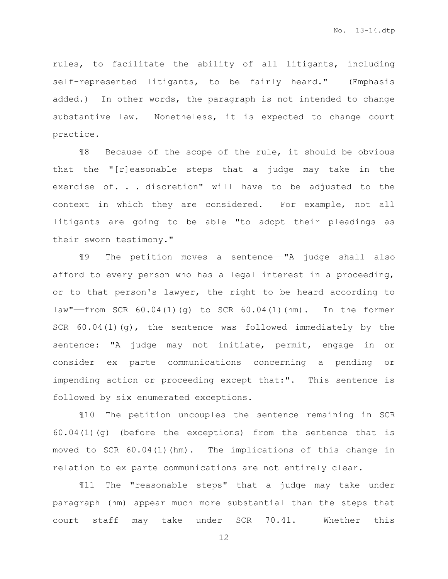rules, to facilitate the ability of all litigants, including self-represented litigants, to be fairly heard." (Emphasis added.) In other words, the paragraph is not intended to change substantive law. Nonetheless, it is expected to change court practice.

¶8 Because of the scope of the rule, it should be obvious that the "[r]easonable steps that a judge may take in the exercise of. . . discretion" will have to be adjusted to the context in which they are considered. For example, not all litigants are going to be able "to adopt their pleadings as their sworn testimony."

¶9 The petition moves a sentence——"A judge shall also afford to every person who has a legal interest in a proceeding, or to that person's lawyer, the right to be heard according to law"——from SCR 60.04(1)(g) to SCR 60.04(1)(hm). In the former SCR 60.04(1)(g), the sentence was followed immediately by the sentence: "A judge may not initiate, permit, engage in or consider ex parte communications concerning a pending or impending action or proceeding except that:". This sentence is followed by six enumerated exceptions.

¶10 The petition uncouples the sentence remaining in SCR 60.04(1)(g) (before the exceptions) from the sentence that is moved to SCR 60.04(1)(hm). The implications of this change in relation to ex parte communications are not entirely clear.

¶11 The "reasonable steps" that a judge may take under paragraph (hm) appear much more substantial than the steps that court staff may take under SCR 70.41. Whether this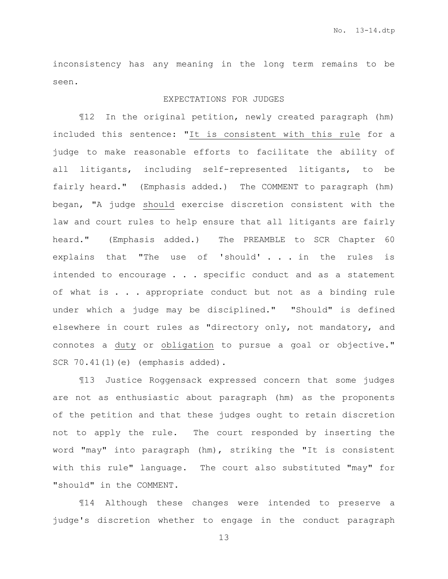inconsistency has any meaning in the long term remains to be seen.

## EXPECTATIONS FOR JUDGES

¶12 In the original petition, newly created paragraph (hm) included this sentence: "It is consistent with this rule for a judge to make reasonable efforts to facilitate the ability of all litigants, including self-represented litigants, to be fairly heard." (Emphasis added.) The COMMENT to paragraph (hm) began, "A judge should exercise discretion consistent with the law and court rules to help ensure that all litigants are fairly heard." (Emphasis added.) The PREAMBLE to SCR Chapter 60 explains that "The use of 'should' . . . in the rules is intended to encourage . . . specific conduct and as a statement of what is . . . appropriate conduct but not as a binding rule under which a judge may be disciplined." "Should" is defined elsewhere in court rules as "directory only, not mandatory, and connotes a duty or obligation to pursue a goal or objective." SCR 70.41(1)(e) (emphasis added).

¶13 Justice Roggensack expressed concern that some judges are not as enthusiastic about paragraph (hm) as the proponents of the petition and that these judges ought to retain discretion not to apply the rule. The court responded by inserting the word "may" into paragraph (hm), striking the "It is consistent with this rule" language. The court also substituted "may" for "should" in the COMMENT.

¶14 Although these changes were intended to preserve a judge's discretion whether to engage in the conduct paragraph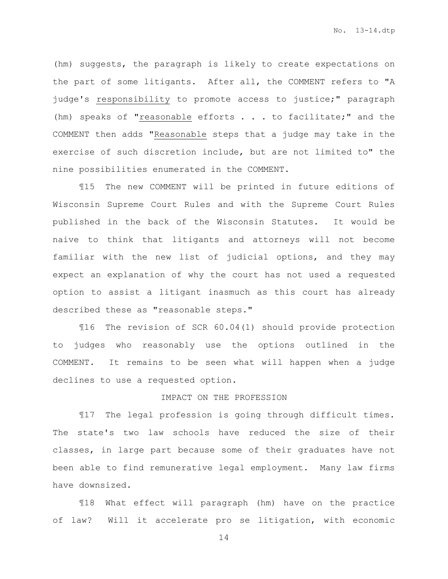(hm) suggests, the paragraph is likely to create expectations on the part of some litigants. After all, the COMMENT refers to "A judge's responsibility to promote access to justice;" paragraph (hm) speaks of "reasonable efforts  $\ldots$  . to facilitate;" and the COMMENT then adds "Reasonable steps that a judge may take in the exercise of such discretion include, but are not limited to" the nine possibilities enumerated in the COMMENT.

¶15 The new COMMENT will be printed in future editions of Wisconsin Supreme Court Rules and with the Supreme Court Rules published in the back of the Wisconsin Statutes. It would be naive to think that litigants and attorneys will not become familiar with the new list of judicial options, and they may expect an explanation of why the court has not used a requested option to assist a litigant inasmuch as this court has already described these as "reasonable steps."

¶16 The revision of SCR 60.04(1) should provide protection to judges who reasonably use the options outlined in the COMMENT. It remains to be seen what will happen when a judge declines to use a requested option.

# IMPACT ON THE PROFESSION

¶17 The legal profession is going through difficult times. The state's two law schools have reduced the size of their classes, in large part because some of their graduates have not been able to find remunerative legal employment. Many law firms have downsized.

¶18 What effect will paragraph (hm) have on the practice of law? Will it accelerate pro se litigation, with economic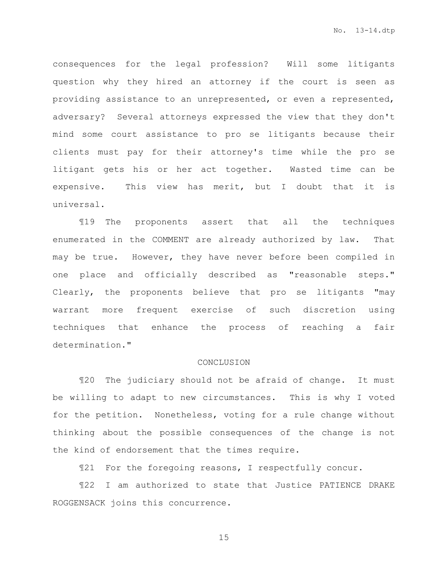consequences for the legal profession? Will some litigants question why they hired an attorney if the court is seen as providing assistance to an unrepresented, or even a represented, adversary? Several attorneys expressed the view that they don't mind some court assistance to pro se litigants because their clients must pay for their attorney's time while the pro se litigant gets his or her act together. Wasted time can be expensive. This view has merit, but I doubt that it is universal.

¶19 The proponents assert that all the techniques enumerated in the COMMENT are already authorized by law. That may be true. However, they have never before been compiled in one place and officially described as "reasonable steps." Clearly, the proponents believe that pro se litigants "may warrant more frequent exercise of such discretion using techniques that enhance the process of reaching a fair determination."

#### CONCLUSION

¶20 The judiciary should not be afraid of change. It must be willing to adapt to new circumstances. This is why I voted for the petition. Nonetheless, voting for a rule change without thinking about the possible consequences of the change is not the kind of endorsement that the times require.

¶21 For the foregoing reasons, I respectfully concur.

¶22 I am authorized to state that Justice PATIENCE DRAKE ROGGENSACK joins this concurrence.